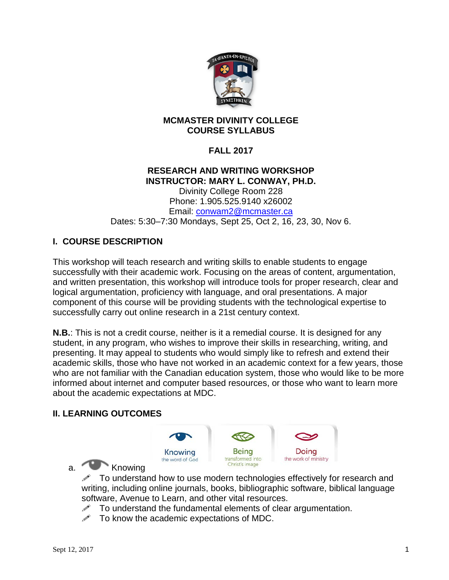

#### **MCMASTER DIVINITY COLLEGE COURSE SYLLABUS**

## **FALL 2017**

#### **RESEARCH AND WRITING WORKSHOP INSTRUCTOR: MARY L. CONWAY, PH.D.**

Divinity College Room 228 Phone: 1.905.525.9140 x26002 Email: [conwam2@mcmaster.ca](mailto:conwam2@mcmaster.ca) Dates: 5:30–7:30 Mondays, Sept 25, Oct 2, 16, 23, 30, Nov 6.

## **I. COURSE DESCRIPTION**

This workshop will teach research and writing skills to enable students to engage successfully with their academic work. Focusing on the areas of content, argumentation, and written presentation, this workshop will introduce tools for proper research, clear and logical argumentation, proficiency with language, and oral presentations. A major component of this course will be providing students with the technological expertise to successfully carry out online research in a 21st century context.

**N.B.**: This is not a credit course, neither is it a remedial course. It is designed for any student, in any program, who wishes to improve their skills in researching, writing, and presenting. It may appeal to students who would simply like to refresh and extend their academic skills, those who have not worked in an academic context for a few years, those who are not familiar with the Canadian education system, those who would like to be more informed about internet and computer based resources, or those who want to learn more about the academic expectations at MDC.

#### **II. LEARNING OUTCOMES**



a. Knowing

 $\mathscr N$  To understand how to use modern technologies effectively for research and writing, including online journals, books, bibliographic software, biblical language software, Avenue to Learn, and other vital resources.

- $\mathscr I$  To understand the fundamental elements of clear argumentation.
- $\mathscr{P}$  To know the academic expectations of MDC.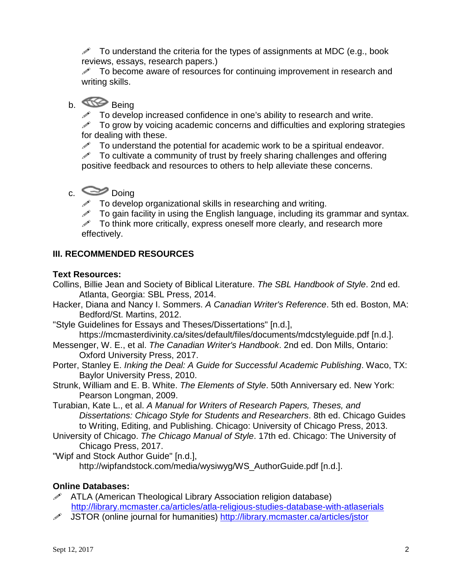$\mathscr N$  To understand the criteria for the types of assignments at MDC (e.g., book reviews, essays, research papers.)

 $\mathscr S$  To become aware of resources for continuing improvement in research and writing skills.

## b. Being

 $\mathscr{I}$  To develop increased confidence in one's ability to research and write.

 $\mathscr{P}$  To grow by voicing academic concerns and difficulties and exploring strategies for dealing with these.

 $\mathscr{P}$  To understand the potential for academic work to be a spiritual endeavor.

 $\mathscr N$  To cultivate a community of trust by freely sharing challenges and offering positive feedback and resources to others to help alleviate these concerns.

# $c.$   $\infty$  Doing

 $\mathscr{I}$  To develop organizational skills in researching and writing.

 $\mathscr S$  To gain facility in using the English language, including its grammar and syntax.

 $\mathscr S$  To think more critically, express oneself more clearly, and research more effectively.

## **III. RECOMMENDED RESOURCES**

## **Text Resources:**

- Collins, Billie Jean and Society of Biblical Literature. *The SBL Handbook of Style*. 2nd ed. Atlanta, Georgia: SBL Press, 2014.
- Hacker, Diana and Nancy I. Sommers. *A Canadian Writer's Reference*. 5th ed. Boston, MA: Bedford/St. Martins, 2012.
- "Style Guidelines for Essays and Theses/Dissertations" [n.d.],

https://mcmasterdivinity.ca/sites/default/files/documents/mdcstyleguide.pdf [n.d.].

- Messenger, W. E., et al. *The Canadian Writer's Handbook*. 2nd ed. Don Mills, Ontario: Oxford University Press, 2017.
- Porter, Stanley E. *Inking the Deal: A Guide for Successful Academic Publishing*. Waco, TX: Baylor University Press, 2010.
- Strunk, William and E. B. White. *The Elements of Style*. 50th Anniversary ed. New York: Pearson Longman, 2009.

Turabian, Kate L., et al. *A Manual for Writers of Research Papers, Theses, and Dissertations: Chicago Style for Students and Researchers*. 8th ed. Chicago Guides to Writing, Editing, and Publishing. Chicago: University of Chicago Press, 2013.

University of Chicago. *The Chicago Manual of Style*. 17th ed. Chicago: The University of Chicago Press, 2017.

"Wipf and Stock Author Guide" [n.d.], http://wipfandstock.com/media/wysiwyg/WS\_AuthorGuide.pdf [n.d.].

## **Online Databases:**

- $\mathscr{P}$  ATLA (American Theological Library Association religion database) <http://library.mcmaster.ca/articles/atla-religious-studies-database-with-atlaserials>
- JSTOR (online journal for humanities) <http://library.mcmaster.ca/articles/jstor>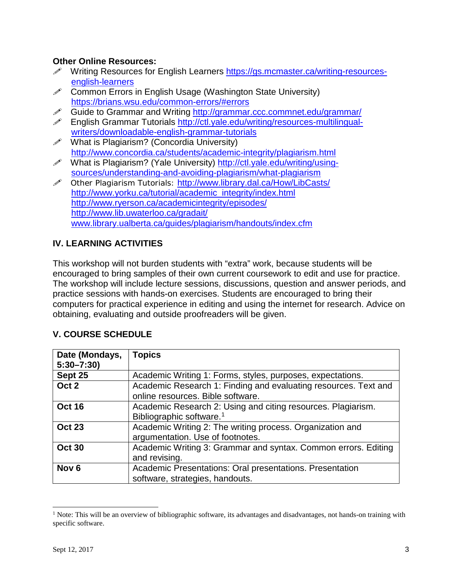#### **Other Online Resources:**

- A Writing Resources for English Learners [https://gs.mcmaster.ca/writing-resources](https://gs.mcmaster.ca/writing-resources-english-learners)[english-learners](https://gs.mcmaster.ca/writing-resources-english-learners)
- $\mathscr{P}$  Common Errors in English Usage (Washington State University) <https://brians.wsu.edu/common-errors/#errors>
- Guide to Grammar and Writing <http://grammar.ccc.commnet.edu/grammar/>
- English Grammar Tutorials [http://ctl.yale.edu/writing/resources-multilingual](http://ctl.yale.edu/writing/resources-multilingual-writers/downloadable-english-grammar-tutorials)[writers/downloadable-english-grammar-tutorials](http://ctl.yale.edu/writing/resources-multilingual-writers/downloadable-english-grammar-tutorials)
- $\mathscr{P}$  What is Plagiarism? (Concordia University) <http://www.concordia.ca/students/academic-integrity/plagiarism.html>
- What is Plagiarism? (Yale University) [http://ctl.yale.edu/writing/using](http://ctl.yale.edu/writing/using-sources/understanding-and-avoiding-plagiarism/what-plagiarism)[sources/understanding-and-avoiding-plagiarism/what-plagiarism](http://ctl.yale.edu/writing/using-sources/understanding-and-avoiding-plagiarism/what-plagiarism)
- Other Plagiarism Tutorials: <http://www.library.dal.ca/How/LibCasts/> [http://www.yorku.ca/tutorial/academic\\_integrity/index.html](http://www.yorku.ca/tutorial/academic_integrity/index.html) <http://www.ryerson.ca/academicintegrity/episodes/> <http://www.lib.uwaterloo.ca/gradait/> [www.library.ualberta.ca/guides/plagiarism/handouts/index.cfm](http://www.library.ualberta.ca/guides/plagiarism/handouts/index.cfm)

## **IV. LEARNING ACTIVITIES**

This workshop will not burden students with "extra" work, because students will be encouraged to bring samples of their own current coursework to edit and use for practice. The workshop will include lecture sessions, discussions, question and answer periods, and practice sessions with hands-on exercises. Students are encouraged to bring their computers for practical experience in editing and using the internet for research. Advice on obtaining, evaluating and outside proofreaders will be given.

| Date (Mondays,   | <b>Topics</b>                                                   |
|------------------|-----------------------------------------------------------------|
| $5:30 - 7:30$    |                                                                 |
| Sept 25          | Academic Writing 1: Forms, styles, purposes, expectations.      |
| Oct 2            | Academic Research 1: Finding and evaluating resources. Text and |
|                  | online resources. Bible software.                               |
| <b>Oct 16</b>    | Academic Research 2: Using and citing resources. Plagiarism.    |
|                  | Bibliographic software. <sup>1</sup>                            |
| <b>Oct 23</b>    | Academic Writing 2: The writing process. Organization and       |
|                  | argumentation. Use of footnotes.                                |
| <b>Oct 30</b>    | Academic Writing 3: Grammar and syntax. Common errors. Editing  |
|                  | and revising.                                                   |
| Nov <sub>6</sub> | Academic Presentations: Oral presentations. Presentation        |
|                  | software, strategies, handouts.                                 |

## **V. COURSE SCHEDULE**

<span id="page-2-0"></span> $<sup>1</sup>$  Note: This will be an overview of bibliographic software, its advantages and disadvantages, not hands-on training with</sup> specific software.